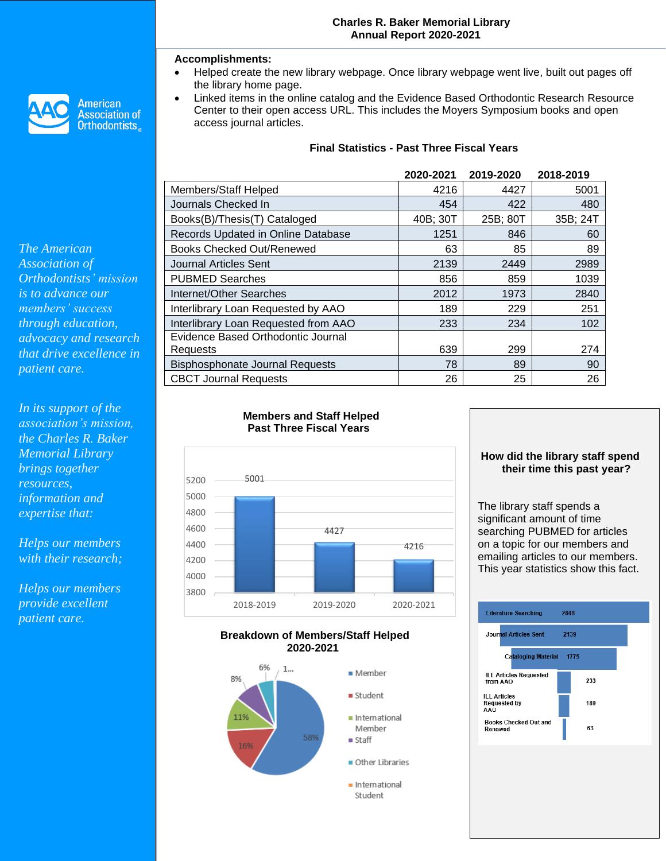

*The American Association of* 

*patient care.*

*Orthodontists' mission is to advance our members' success through education, advocacy and research that drive excellence in* 

**American Association of** Orthodontists.

# Charles R. Baker Memorial Library  **Charles R. Baker Memorial Library** Annual Report 2017-2018  **Annual Report 2020-2021**

#### **Accomplishments:**

- Helped create the new library webpage. Once library webpage went live, built out pages off the library home page.
- Linked items in the online catalog and the Evidence Based Orthodontic Research Resource Center to their open access URL. This includes the Moyers Symposium books and open access journal articles.

### **Final Statistics - Past Three Fiscal Years**

|                                        | 2020-2021 | 2019-2020 | 2018-2019 |
|----------------------------------------|-----------|-----------|-----------|
| Members/Staff Helped                   | 4216      | 4427      | 5001      |
| Journals Checked In                    | 454       | 422       | 480       |
| Books(B)/Thesis(T) Cataloged           | 40B; 30T  | 25B; 80T  | 35B; 24T  |
| Records Updated in Online Database     | 1251      | 846       | 60        |
| <b>Books Checked Out/Renewed</b>       | 63        | 85        | 89        |
| Journal Articles Sent                  | 2139      | 2449      | 2989      |
| <b>PUBMED Searches</b>                 | 856       | 859       | 1039      |
| Internet/Other Searches                | 2012      | 1973      | 2840      |
| Interlibrary Loan Requested by AAO     | 189       | 229       | 251       |
| Interlibrary Loan Requested from AAO   | 233       | 234       | 102       |
| Evidence Based Orthodontic Journal     |           |           |           |
| Requests                               | 639       | 299       | 274       |
| <b>Bisphosphonate Journal Requests</b> | 78        | 89        | 90        |
| <b>CBCT Journal Requests</b>           | 26        | 25        | 26        |

*In its support of the association's mission, the Charles R. Baker Memorial Library brings together resources, information and expertise that:*

*Helps our members with their research;*

*Helps our members provide excellent patient care.*







#### **How did the library staff spend their time this past year?**

The library staff spends a significant amount of time searching PUBMED for articles on a topic for our members and emailing articles to our members. This year statistics show this fact.